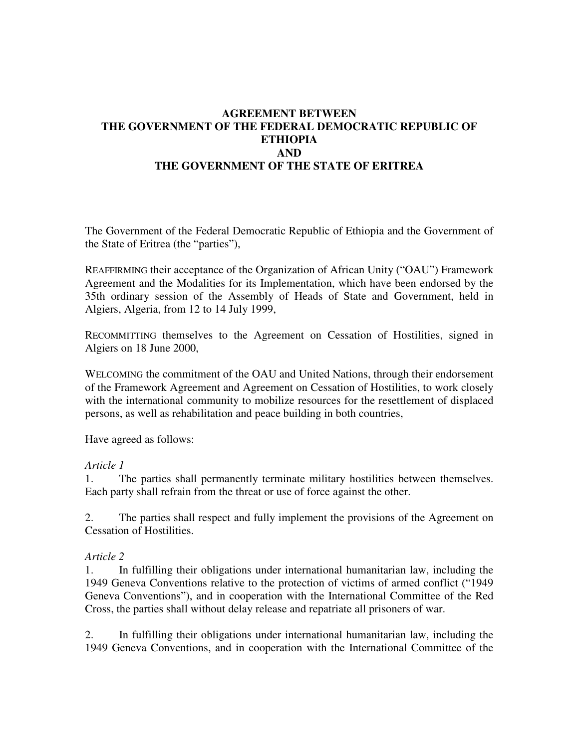### **AGREEMENT BETWEEN THE GOVERNMENT OF THE FEDERAL DEMOCRATIC REPUBLIC OF ETHIOPIA AND THE GOVERNMENT OF THE STATE OF ERITREA**

The Government of the Federal Democratic Republic of Ethiopia and the Government of the State of Eritrea (the "parties"),

REAFFIRMING their acceptance of the Organization of African Unity ("OAU") Framework Agreement and the Modalities for its Implementation, which have been endorsed by the 35th ordinary session of the Assembly of Heads of State and Government, held in Algiers, Algeria, from 12 to 14 July 1999,

RECOMMITTING themselves to the Agreement on Cessation of Hostilities, signed in Algiers on 18 June 2000,

WELCOMING the commitment of the OAU and United Nations, through their endorsement of the Framework Agreement and Agreement on Cessation of Hostilities, to work closely with the international community to mobilize resources for the resettlement of displaced persons, as well as rehabilitation and peace building in both countries,

Have agreed as follows:

#### *Article 1*

1. The parties shall permanently terminate military hostilities between themselves. Each party shall refrain from the threat or use of force against the other.

2. The parties shall respect and fully implement the provisions of the Agreement on Cessation of Hostilities.

#### *Article 2*

1. In fulfilling their obligations under international humanitarian law, including the 1949 Geneva Conventions relative to the protection of victims of armed conflict ("1949 Geneva Conventions"), and in cooperation with the International Committee of the Red Cross, the parties shall without delay release and repatriate all prisoners of war.

2. In fulfilling their obligations under international humanitarian law, including the 1949 Geneva Conventions, and in cooperation with the International Committee of the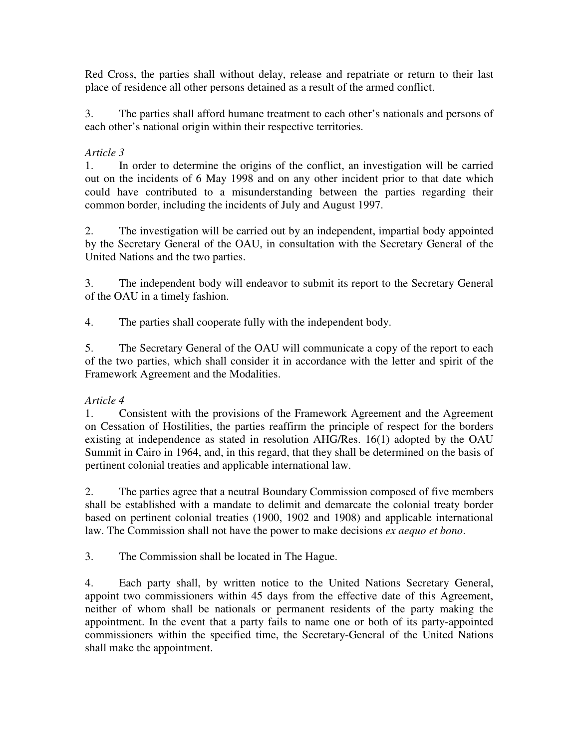Red Cross, the parties shall without delay, release and repatriate or return to their last place of residence all other persons detained as a result of the armed conflict.

3. The parties shall afford humane treatment to each other's nationals and persons of each other's national origin within their respective territories.

# *Article 3*

1. In order to determine the origins of the conflict, an investigation will be carried out on the incidents of 6 May 1998 and on any other incident prior to that date which could have contributed to a misunderstanding between the parties regarding their common border, including the incidents of July and August 1997.

2. The investigation will be carried out by an independent, impartial body appointed by the Secretary General of the OAU, in consultation with the Secretary General of the United Nations and the two parties.

3. The independent body will endeavor to submit its report to the Secretary General of the OAU in a timely fashion.

4. The parties shall cooperate fully with the independent body.

5. The Secretary General of the OAU will communicate a copy of the report to each of the two parties, which shall consider it in accordance with the letter and spirit of the Framework Agreement and the Modalities.

### *Article 4*

1. Consistent with the provisions of the Framework Agreement and the Agreement on Cessation of Hostilities, the parties reaffirm the principle of respect for the borders existing at independence as stated in resolution AHG/Res. 16(1) adopted by the OAU Summit in Cairo in 1964, and, in this regard, that they shall be determined on the basis of pertinent colonial treaties and applicable international law.

2. The parties agree that a neutral Boundary Commission composed of five members shall be established with a mandate to delimit and demarcate the colonial treaty border based on pertinent colonial treaties (1900, 1902 and 1908) and applicable international law. The Commission shall not have the power to make decisions *ex aequo et bono*.

3. The Commission shall be located in The Hague.

4. Each party shall, by written notice to the United Nations Secretary General, appoint two commissioners within 45 days from the effective date of this Agreement, neither of whom shall be nationals or permanent residents of the party making the appointment. In the event that a party fails to name one or both of its party-appointed commissioners within the specified time, the Secretary-General of the United Nations shall make the appointment.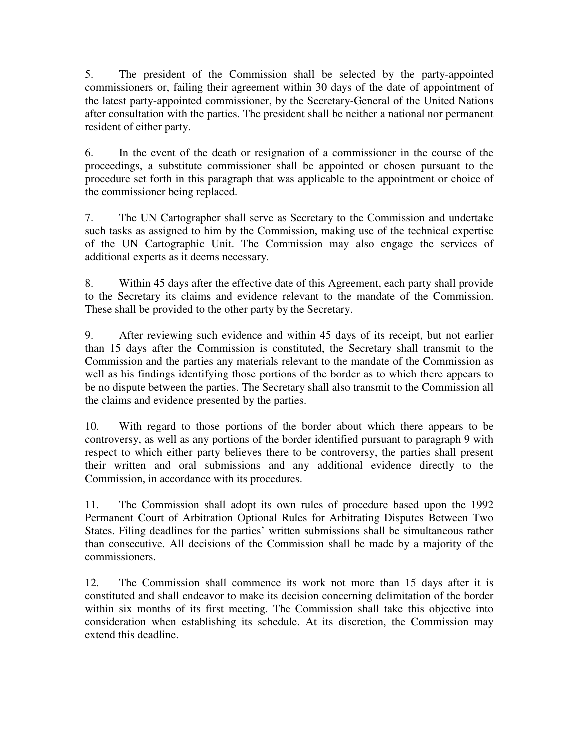5. The president of the Commission shall be selected by the party-appointed commissioners or, failing their agreement within 30 days of the date of appointment of the latest party-appointed commissioner, by the Secretary-General of the United Nations after consultation with the parties. The president shall be neither a national nor permanent resident of either party.

6. In the event of the death or resignation of a commissioner in the course of the proceedings, a substitute commissioner shall be appointed or chosen pursuant to the procedure set forth in this paragraph that was applicable to the appointment or choice of the commissioner being replaced.

7. The UN Cartographer shall serve as Secretary to the Commission and undertake such tasks as assigned to him by the Commission, making use of the technical expertise of the UN Cartographic Unit. The Commission may also engage the services of additional experts as it deems necessary.

8. Within 45 days after the effective date of this Agreement, each party shall provide to the Secretary its claims and evidence relevant to the mandate of the Commission. These shall be provided to the other party by the Secretary.

9. After reviewing such evidence and within 45 days of its receipt, but not earlier than 15 days after the Commission is constituted, the Secretary shall transmit to the Commission and the parties any materials relevant to the mandate of the Commission as well as his findings identifying those portions of the border as to which there appears to be no dispute between the parties. The Secretary shall also transmit to the Commission all the claims and evidence presented by the parties.

10. With regard to those portions of the border about which there appears to be controversy, as well as any portions of the border identified pursuant to paragraph 9 with respect to which either party believes there to be controversy, the parties shall present their written and oral submissions and any additional evidence directly to the Commission, in accordance with its procedures.

11. The Commission shall adopt its own rules of procedure based upon the 1992 Permanent Court of Arbitration Optional Rules for Arbitrating Disputes Between Two States. Filing deadlines for the parties' written submissions shall be simultaneous rather than consecutive. All decisions of the Commission shall be made by a majority of the commissioners.

12. The Commission shall commence its work not more than 15 days after it is constituted and shall endeavor to make its decision concerning delimitation of the border within six months of its first meeting. The Commission shall take this objective into consideration when establishing its schedule. At its discretion, the Commission may extend this deadline.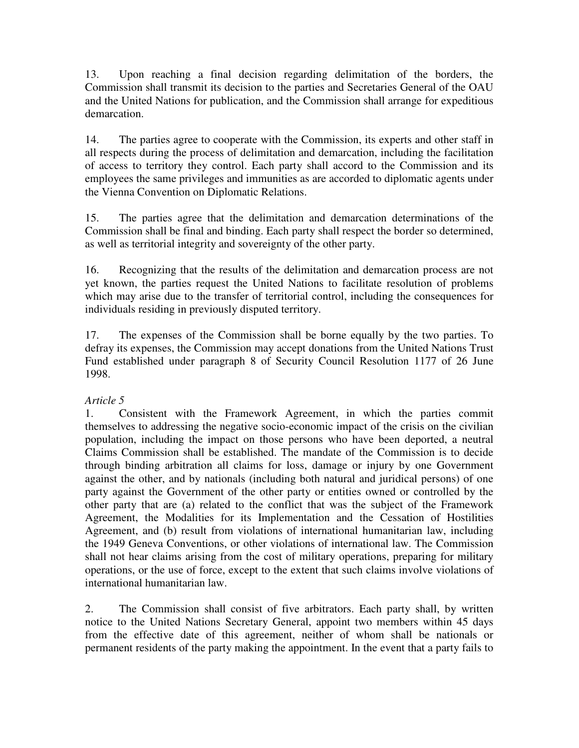13. Upon reaching a final decision regarding delimitation of the borders, the Commission shall transmit its decision to the parties and Secretaries General of the OAU and the United Nations for publication, and the Commission shall arrange for expeditious demarcation.

14. The parties agree to cooperate with the Commission, its experts and other staff in all respects during the process of delimitation and demarcation, including the facilitation of access to territory they control. Each party shall accord to the Commission and its employees the same privileges and immunities as are accorded to diplomatic agents under the Vienna Convention on Diplomatic Relations.

15. The parties agree that the delimitation and demarcation determinations of the Commission shall be final and binding. Each party shall respect the border so determined, as well as territorial integrity and sovereignty of the other party.

16. Recognizing that the results of the delimitation and demarcation process are not yet known, the parties request the United Nations to facilitate resolution of problems which may arise due to the transfer of territorial control, including the consequences for individuals residing in previously disputed territory.

17. The expenses of the Commission shall be borne equally by the two parties. To defray its expenses, the Commission may accept donations from the United Nations Trust Fund established under paragraph 8 of Security Council Resolution 1177 of 26 June 1998.

### *Article 5*

1. Consistent with the Framework Agreement, in which the parties commit themselves to addressing the negative socio-economic impact of the crisis on the civilian population, including the impact on those persons who have been deported, a neutral Claims Commission shall be established. The mandate of the Commission is to decide through binding arbitration all claims for loss, damage or injury by one Government against the other, and by nationals (including both natural and juridical persons) of one party against the Government of the other party or entities owned or controlled by the other party that are (a) related to the conflict that was the subject of the Framework Agreement, the Modalities for its Implementation and the Cessation of Hostilities Agreement, and (b) result from violations of international humanitarian law, including the 1949 Geneva Conventions, or other violations of international law. The Commission shall not hear claims arising from the cost of military operations, preparing for military operations, or the use of force, except to the extent that such claims involve violations of international humanitarian law.

2. The Commission shall consist of five arbitrators. Each party shall, by written notice to the United Nations Secretary General, appoint two members within 45 days from the effective date of this agreement, neither of whom shall be nationals or permanent residents of the party making the appointment. In the event that a party fails to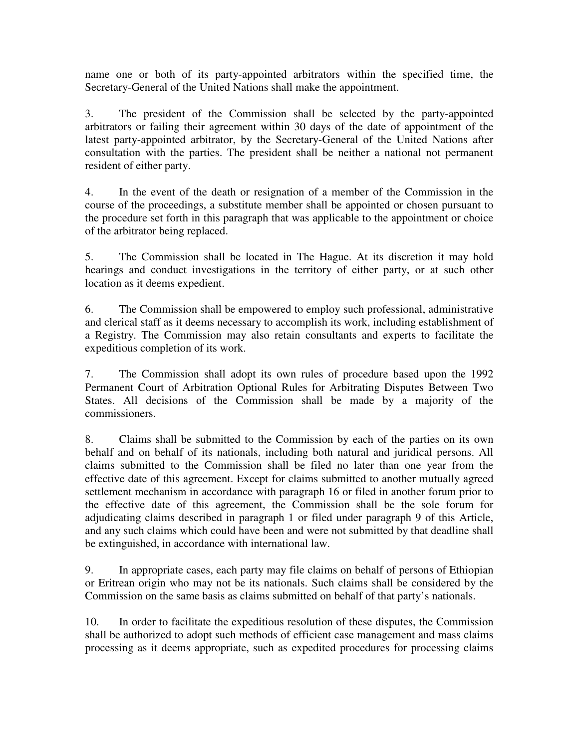name one or both of its party-appointed arbitrators within the specified time, the Secretary-General of the United Nations shall make the appointment.

3. The president of the Commission shall be selected by the party-appointed arbitrators or failing their agreement within 30 days of the date of appointment of the latest party-appointed arbitrator, by the Secretary-General of the United Nations after consultation with the parties. The president shall be neither a national not permanent resident of either party.

4. In the event of the death or resignation of a member of the Commission in the course of the proceedings, a substitute member shall be appointed or chosen pursuant to the procedure set forth in this paragraph that was applicable to the appointment or choice of the arbitrator being replaced.

5. The Commission shall be located in The Hague. At its discretion it may hold hearings and conduct investigations in the territory of either party, or at such other location as it deems expedient.

6. The Commission shall be empowered to employ such professional, administrative and clerical staff as it deems necessary to accomplish its work, including establishment of a Registry. The Commission may also retain consultants and experts to facilitate the expeditious completion of its work.

7. The Commission shall adopt its own rules of procedure based upon the 1992 Permanent Court of Arbitration Optional Rules for Arbitrating Disputes Between Two States. All decisions of the Commission shall be made by a majority of the commissioners.

8. Claims shall be submitted to the Commission by each of the parties on its own behalf and on behalf of its nationals, including both natural and juridical persons. All claims submitted to the Commission shall be filed no later than one year from the effective date of this agreement. Except for claims submitted to another mutually agreed settlement mechanism in accordance with paragraph 16 or filed in another forum prior to the effective date of this agreement, the Commission shall be the sole forum for adjudicating claims described in paragraph 1 or filed under paragraph 9 of this Article, and any such claims which could have been and were not submitted by that deadline shall be extinguished, in accordance with international law.

9. In appropriate cases, each party may file claims on behalf of persons of Ethiopian or Eritrean origin who may not be its nationals. Such claims shall be considered by the Commission on the same basis as claims submitted on behalf of that party's nationals.

10. In order to facilitate the expeditious resolution of these disputes, the Commission shall be authorized to adopt such methods of efficient case management and mass claims processing as it deems appropriate, such as expedited procedures for processing claims